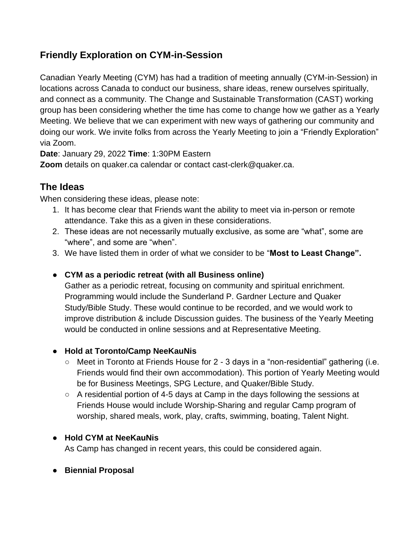# **Friendly Exploration on CYM-in-Session**

Canadian Yearly Meeting (CYM) has had a tradition of meeting annually (CYM-in-Session) in locations across Canada to conduct our business, share ideas, renew ourselves spiritually, and connect as a community. The Change and Sustainable Transformation (CAST) working group has been considering whether the time has come to change how we gather as a Yearly Meeting. We believe that we can experiment with new ways of gathering our community and doing our work. We invite folks from across the Yearly Meeting to join a "Friendly Exploration" via Zoom.

**Date**: January 29, 2022 **Time**: 1:30PM Eastern

**Zoom** details on quaker.ca calendar or contact cast-clerk@quaker.ca.

## **The Ideas**

When considering these ideas, please note:

- 1. It has become clear that Friends want the ability to meet via in-person or remote attendance. Take this as a given in these considerations.
- 2. These ideas are not necessarily mutually exclusive, as some are "what", some are "where", and some are "when".
- 3. We have listed them in order of what we consider to be "**Most to Least Change".**

#### ● **CYM as a periodic retreat (with all Business online)**

Gather as a periodic retreat, focusing on community and spiritual enrichment. Programming would include the Sunderland P. Gardner Lecture and Quaker Study/Bible Study. These would continue to be recorded, and we would work to improve distribution & include Discussion guides. The business of the Yearly Meeting would be conducted in online sessions and at Representative Meeting.

#### ● **Hold at Toronto/Camp NeeKauNis**

- Meet in Toronto at Friends House for 2 3 days in a "non-residential" gathering (i.e. Friends would find their own accommodation). This portion of Yearly Meeting would be for Business Meetings, SPG Lecture, and Quaker/Bible Study.
- A residential portion of 4-5 days at Camp in the days following the sessions at Friends House would include Worship-Sharing and regular Camp program of worship, shared meals, work, play, crafts, swimming, boating, Talent Night.

### ● **Hold CYM at NeeKauNis**

As Camp has changed in recent years, this could be considered again.

● **Biennial Proposal**